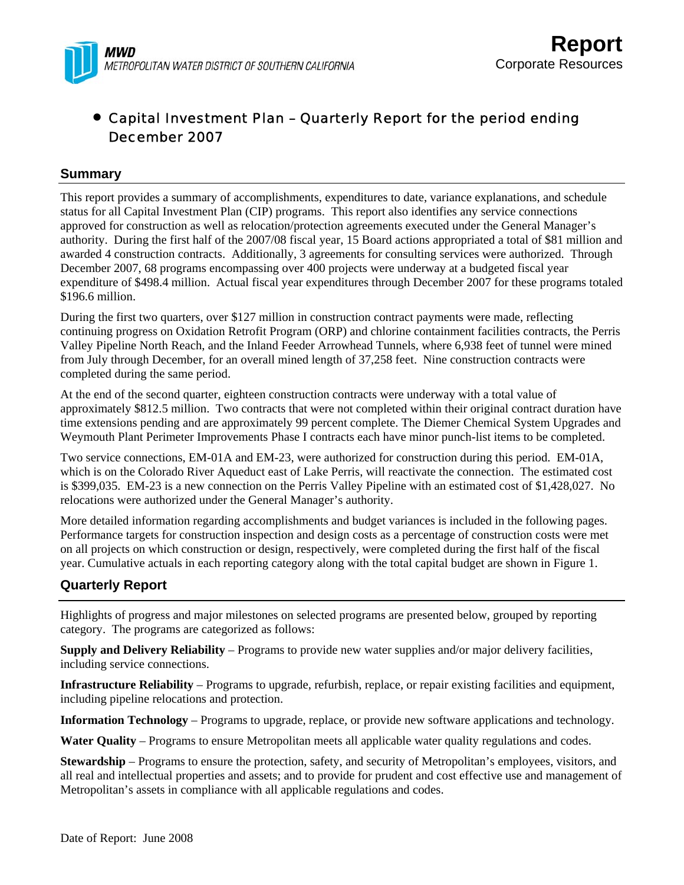

## • Capital Investment Plan – Quarterly Report for the period ending December 2007

## **Summary**

This report provides a summary of accomplishments, expenditures to date, variance explanations, and schedule status for all Capital Investment Plan (CIP) programs. This report also identifies any service connections approved for construction as well as relocation/protection agreements executed under the General Manager's authority. During the first half of the 2007/08 fiscal year, 15 Board actions appropriated a total of \$81 million and awarded 4 construction contracts. Additionally, 3 agreements for consulting services were authorized. Through December 2007, 68 programs encompassing over 400 projects were underway at a budgeted fiscal year expenditure of \$498.4 million. Actual fiscal year expenditures through December 2007 for these programs totaled \$196.6 million.

During the first two quarters, over \$127 million in construction contract payments were made, reflecting continuing progress on Oxidation Retrofit Program (ORP) and chlorine containment facilities contracts, the Perris Valley Pipeline North Reach, and the Inland Feeder Arrowhead Tunnels, where 6,938 feet of tunnel were mined from July through December, for an overall mined length of 37,258 feet. Nine construction contracts were completed during the same period.

At the end of the second quarter, eighteen construction contracts were underway with a total value of approximately \$812.5 million. Two contracts that were not completed within their original contract duration have time extensions pending and are approximately 99 percent complete. The Diemer Chemical System Upgrades and Weymouth Plant Perimeter Improvements Phase I contracts each have minor punch-list items to be completed.

Two service connections, EM-01A and EM-23, were authorized for construction during this period. EM-01A, which is on the Colorado River Aqueduct east of Lake Perris, will reactivate the connection. The estimated cost is \$399,035. EM-23 is a new connection on the Perris Valley Pipeline with an estimated cost of \$1,428,027. No relocations were authorized under the General Manager's authority.

More detailed information regarding accomplishments and budget variances is included in the following pages. Performance targets for construction inspection and design costs as a percentage of construction costs were met on all projects on which construction or design, respectively, were completed during the first half of the fiscal year. Cumulative actuals in each reporting category along with the total capital budget are shown in Figure 1.

## **Quarterly Report**

Highlights of progress and major milestones on selected programs are presented below, grouped by reporting category. The programs are categorized as follows:

**Supply and Delivery Reliability** – Programs to provide new water supplies and/or major delivery facilities, including service connections.

**Infrastructure Reliability** – Programs to upgrade, refurbish, replace, or repair existing facilities and equipment, including pipeline relocations and protection.

**Information Technology** – Programs to upgrade, replace, or provide new software applications and technology.

**Water Quality** – Programs to ensure Metropolitan meets all applicable water quality regulations and codes.

**Stewardship** – Programs to ensure the protection, safety, and security of Metropolitan's employees, visitors, and all real and intellectual properties and assets; and to provide for prudent and cost effective use and management of Metropolitan's assets in compliance with all applicable regulations and codes.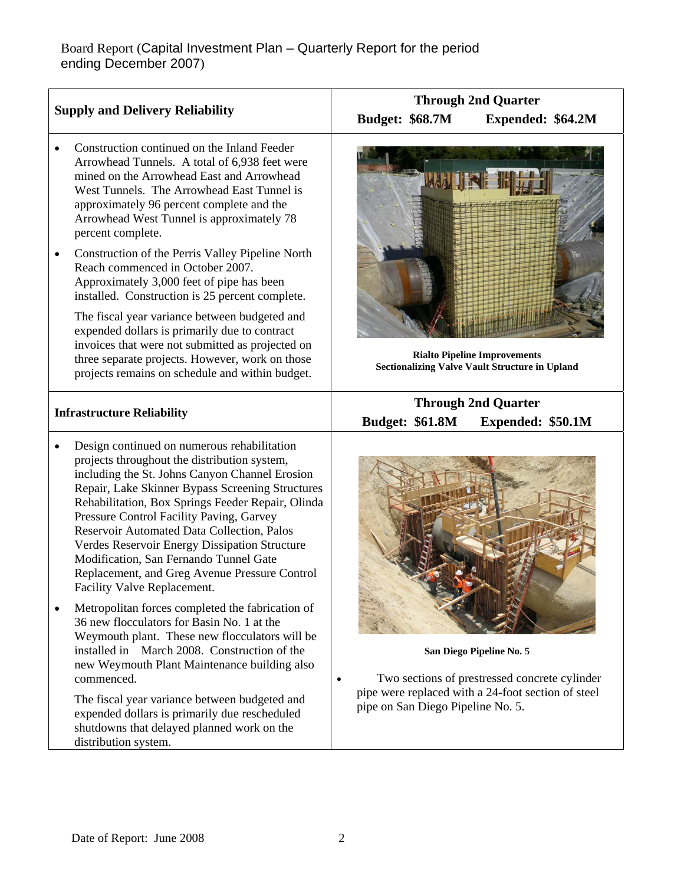| <b>Supply and Delivery Reliability</b>                                                                                                                                                                                                                                                                                                                                                                                                                                                                                                                                                                                                                                                                                                                                                                                                                                                                                                                                                          | <b>Through 2nd Quarter</b><br><b>Budget: \$68.7M</b><br>Expended: \$64.2M                                                                                            |  |  |
|-------------------------------------------------------------------------------------------------------------------------------------------------------------------------------------------------------------------------------------------------------------------------------------------------------------------------------------------------------------------------------------------------------------------------------------------------------------------------------------------------------------------------------------------------------------------------------------------------------------------------------------------------------------------------------------------------------------------------------------------------------------------------------------------------------------------------------------------------------------------------------------------------------------------------------------------------------------------------------------------------|----------------------------------------------------------------------------------------------------------------------------------------------------------------------|--|--|
| Construction continued on the Inland Feeder<br>Arrowhead Tunnels. A total of 6,938 feet were<br>mined on the Arrowhead East and Arrowhead<br>West Tunnels. The Arrowhead East Tunnel is<br>approximately 96 percent complete and the<br>Arrowhead West Tunnel is approximately 78<br>percent complete.<br>Construction of the Perris Valley Pipeline North<br>$\bullet$<br>Reach commenced in October 2007.<br>Approximately 3,000 feet of pipe has been                                                                                                                                                                                                                                                                                                                                                                                                                                                                                                                                        |                                                                                                                                                                      |  |  |
| installed. Construction is 25 percent complete.<br>The fiscal year variance between budgeted and<br>expended dollars is primarily due to contract<br>invoices that were not submitted as projected on<br>three separate projects. However, work on those<br>projects remains on schedule and within budget.                                                                                                                                                                                                                                                                                                                                                                                                                                                                                                                                                                                                                                                                                     | <b>Rialto Pipeline Improvements</b><br><b>Sectionalizing Valve Vault Structure in Upland</b>                                                                         |  |  |
| <b>Infrastructure Reliability</b>                                                                                                                                                                                                                                                                                                                                                                                                                                                                                                                                                                                                                                                                                                                                                                                                                                                                                                                                                               | <b>Through 2nd Quarter</b><br><b>Budget: \$61.8M</b><br>Expended: \$50.1M                                                                                            |  |  |
| Design continued on numerous rehabilitation<br>$\bullet$<br>projects throughout the distribution system,<br>including the St. Johns Canyon Channel Erosion<br>Repair, Lake Skinner Bypass Screening Structures<br>Rehabilitation, Box Springs Feeder Repair, Olinda<br>Pressure Control Facility Paving, Garvey<br>Reservoir Automated Data Collection, Palos<br>Verdes Reservoir Energy Dissipation Structure<br>Modification, San Fernando Tunnel Gate<br>Replacement, and Greg Avenue Pressure Control<br>Facility Valve Replacement.<br>Metropolitan forces completed the fabrication of<br>$\bullet$<br>36 new flocculators for Basin No. 1 at the<br>Weymouth plant. These new flocculators will be<br>installed in March 2008. Construction of the<br>new Weymouth Plant Maintenance building also<br>commenced.<br>The fiscal year variance between budgeted and<br>expended dollars is primarily due rescheduled<br>shutdowns that delayed planned work on the<br>distribution system. | San Diego Pipeline No. 5<br>Two sections of prestressed concrete cylinder<br>pipe were replaced with a 24-foot section of steel<br>pipe on San Diego Pipeline No. 5. |  |  |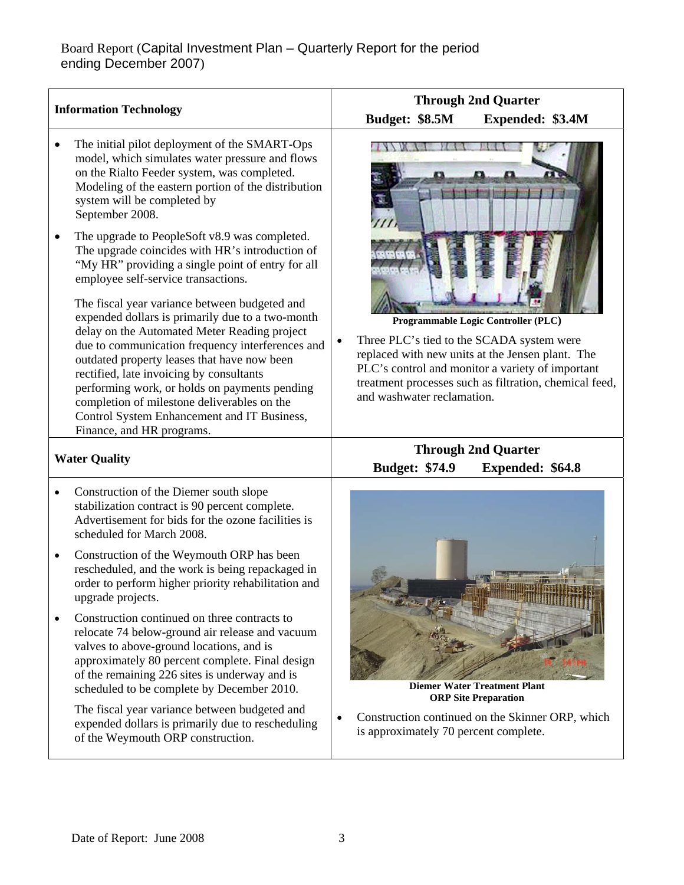|           | <b>Information Technology</b>                                                                                                                                                                                                                                                                                                                                                                                                                                                | <b>Through 2nd Quarter</b>                                                                                                                                                                                                                                                                    |
|-----------|------------------------------------------------------------------------------------------------------------------------------------------------------------------------------------------------------------------------------------------------------------------------------------------------------------------------------------------------------------------------------------------------------------------------------------------------------------------------------|-----------------------------------------------------------------------------------------------------------------------------------------------------------------------------------------------------------------------------------------------------------------------------------------------|
|           |                                                                                                                                                                                                                                                                                                                                                                                                                                                                              | Budget: \$8.5M<br>Expended: \$3.4M                                                                                                                                                                                                                                                            |
|           | The initial pilot deployment of the SMART-Ops<br>model, which simulates water pressure and flows<br>on the Rialto Feeder system, was completed.<br>Modeling of the eastern portion of the distribution<br>system will be completed by<br>September 2008.                                                                                                                                                                                                                     |                                                                                                                                                                                                                                                                                               |
|           | The upgrade to PeopleSoft v8.9 was completed.<br>The upgrade coincides with HR's introduction of<br>"My HR" providing a single point of entry for all<br>employee self-service transactions.                                                                                                                                                                                                                                                                                 |                                                                                                                                                                                                                                                                                               |
|           | The fiscal year variance between budgeted and<br>expended dollars is primarily due to a two-month<br>delay on the Automated Meter Reading project<br>due to communication frequency interferences and<br>outdated property leases that have now been<br>rectified, late invoicing by consultants<br>performing work, or holds on payments pending<br>completion of milestone deliverables on the<br>Control System Enhancement and IT Business,<br>Finance, and HR programs. | Programmable Logic Controller (PLC)<br>Three PLC's tied to the SCADA system were<br>$\bullet$<br>replaced with new units at the Jensen plant. The<br>PLC's control and monitor a variety of important<br>treatment processes such as filtration, chemical feed,<br>and washwater reclamation. |
|           | <b>Water Quality</b>                                                                                                                                                                                                                                                                                                                                                                                                                                                         | <b>Through 2nd Quarter</b>                                                                                                                                                                                                                                                                    |
|           |                                                                                                                                                                                                                                                                                                                                                                                                                                                                              | <b>Budget: \$74.9</b><br><b>Expended: \$64.8</b>                                                                                                                                                                                                                                              |
| ٠         | Construction of the Diemer south slope<br>stabilization contract is 90 percent complete.<br>Advertisement for bids for the ozone facilities is<br>scheduled for March 2008.                                                                                                                                                                                                                                                                                                  |                                                                                                                                                                                                                                                                                               |
| $\bullet$ | Construction of the Weymouth ORP has been<br>rescheduled, and the work is being repackaged in<br>order to perform higher priority rehabilitation and<br>upgrade projects.                                                                                                                                                                                                                                                                                                    |                                                                                                                                                                                                                                                                                               |
|           | Construction continued on three contracts to<br>relocate 74 below-ground air release and vacuum<br>valves to above-ground locations, and is<br>approximately 80 percent complete. Final design<br>of the remaining 226 sites is underway and is<br>scheduled to be complete by December 2010.                                                                                                                                                                                | <b>Diemer Water Treatment Plant</b><br><b>ORP Site Preparation</b>                                                                                                                                                                                                                            |
|           | The fiscal year variance between budgeted and<br>expended dollars is primarily due to rescheduling<br>of the Weymouth ORP construction.                                                                                                                                                                                                                                                                                                                                      | Construction continued on the Skinner ORP, which<br>is approximately 70 percent complete.                                                                                                                                                                                                     |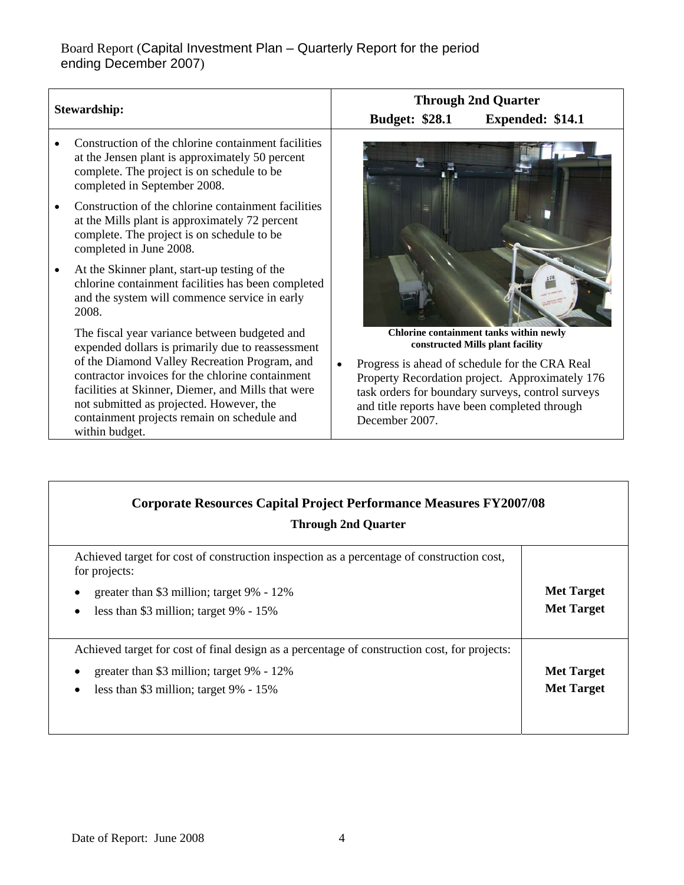## Board Report (Capital Investment Plan – Quarterly Report for the period ending December 2007)

|                     |                                                                                                                                                                                                                                                                                                                                                                            |                                                                 | <b>Through 2nd Quarter</b>                                                                                                                                                                                                            |
|---------------------|----------------------------------------------------------------------------------------------------------------------------------------------------------------------------------------------------------------------------------------------------------------------------------------------------------------------------------------------------------------------------|-----------------------------------------------------------------|---------------------------------------------------------------------------------------------------------------------------------------------------------------------------------------------------------------------------------------|
| <b>Stewardship:</b> |                                                                                                                                                                                                                                                                                                                                                                            | <b>Budget: \$28.1</b>                                           | Expended: \$14.1                                                                                                                                                                                                                      |
|                     | Construction of the chlorine containment facilities<br>at the Jensen plant is approximately 50 percent<br>complete. The project is on schedule to be<br>completed in September 2008.                                                                                                                                                                                       |                                                                 |                                                                                                                                                                                                                                       |
|                     | Construction of the chlorine containment facilities<br>at the Mills plant is approximately 72 percent<br>complete. The project is on schedule to be<br>completed in June 2008.                                                                                                                                                                                             |                                                                 |                                                                                                                                                                                                                                       |
|                     | At the Skinner plant, start-up testing of the<br>chlorine containment facilities has been completed<br>and the system will commence service in early<br>2008.                                                                                                                                                                                                              |                                                                 |                                                                                                                                                                                                                                       |
|                     | The fiscal year variance between budgeted and<br>expended dollars is primarily due to reassessment<br>of the Diamond Valley Recreation Program, and<br>contractor invoices for the chlorine containment<br>facilities at Skinner, Diemer, and Mills that were<br>not submitted as projected. However, the<br>containment projects remain on schedule and<br>within budget. | and title reports have been completed through<br>December 2007. | Chlorine containment tanks within newly<br>constructed Mills plant facility<br>Progress is ahead of schedule for the CRA Real<br>Property Recordation project. Approximately 176<br>task orders for boundary surveys, control surveys |

| <b>Corporate Resources Capital Project Performance Measures FY2007/08</b><br><b>Through 2nd Quarter</b>                                                                                           |                                        |  |  |
|---------------------------------------------------------------------------------------------------------------------------------------------------------------------------------------------------|----------------------------------------|--|--|
| Achieved target for cost of construction inspection as a percentage of construction cost,<br>for projects:<br>greater than \$3 million; target 9% - 12%<br>less than \$3 million; target 9% - 15% | <b>Met Target</b><br><b>Met Target</b> |  |  |
| Achieved target for cost of final design as a percentage of construction cost, for projects:<br>greater than \$3 million; target 9% - 12%<br>less than \$3 million; target 9% - 15%               | <b>Met Target</b><br><b>Met Target</b> |  |  |